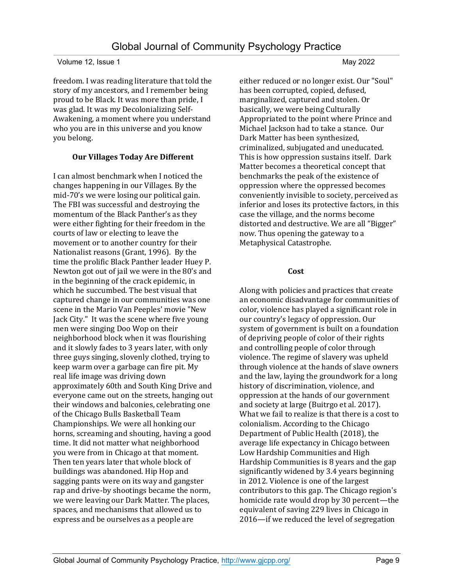freedom. I was reading literature that told the story of my ancestors, and I remember being proud to be Black. It was more than pride, I was glad. It was my Decolonializing Self-Awakening, a moment where you understand who you are in this universe and you know you belong.

# **Our Villages Today Are Different**

I can almost benchmark when I noticed the changes happening in our Villages. By the mid-70's we were losing our political gain. The FBI was successful and destroying the momentum of the Black Panther's as they were either fighting for their freedom in the courts of law or electing to leave the movement or to another country for their Nationalist reasons (Grant, 1996). By the time the prolific Black Panther leader Huey P. Newton got out of jail we were in the 80's and in the beginning of the crack epidemic, in which he succumbed. The best visual that captured change in our communities was one scene in the Mario Van Peeples' movie "New Jack City." It was the scene where five young men were singing Doo Wop on their neighborhood block when it was flourishing and it slowly fades to 3 years later, with only three guys singing, slovenly clothed, trying to keep warm over a garbage can fire pit. My real life image was driving down approximately 60th and South King Drive and everyone came out on the streets, hanging out their windows and balconies, celebrating one of the Chicago Bulls Basketball Team Championships. We were all honking our horns, screaming and shouting, having a good time. It did not matter what neighborhood you were from in Chicago at that moment. Then ten years later that whole block of buildings was abandoned. Hip Hop and sagging pants were on its way and gangster rap and drive-by shootings became the norm, we were leaving our Dark Matter. The places, spaces, and mechanisms that allowed us to express and be ourselves as a people are

either reduced or no longer exist. Our "Soul" has been corrupted, copied, defused, marginalized, captured and stolen. Or basically, we were being Culturally Appropriated to the point where Prince and Michael Jackson had to take a stance. Our Dark Matter has been synthesized, criminalized, subjugated and uneducated. This is how oppression sustains itself. Dark Matter becomes a theoretical concept that benchmarks the peak of the existence of oppression where the oppressed becomes conveniently invisible to society, perceived as inferior and loses its protective factors, in this case the village, and the norms become distorted and destructive. We are all "Bigger" now. Thus opening the gateway to a Metaphysical Catastrophe.

# **5F** Cost

Along with policies and practices that create an economic disadvantage for communities of color, violence has played a significant role in our country's legacy of oppression. Our system of government is built on a foundation of depriving people of color of their rights and controlling people of color through violence. The regime of slavery was upheld through violence at the hands of slave owners and the law, laying the groundwork for a long history of discrimination, violence, and oppression at the hands of our government and society at large (Buitrgo et al. 2017). What we fail to realize is that there is a cost to colonialism. According to the Chicago Department of Public Health (2018), the average life expectancy in Chicago between Low Hardship Communities and High Hardship Communities is 8 years and the gap significantly widened by 3.4 years beginning in 2012. Violence is one of the largest contributors to this gap. The Chicago region's homicide rate would drop by 30 percent—the equivalent of saving 229 lives in Chicago in 2016—if we reduced the level of segregation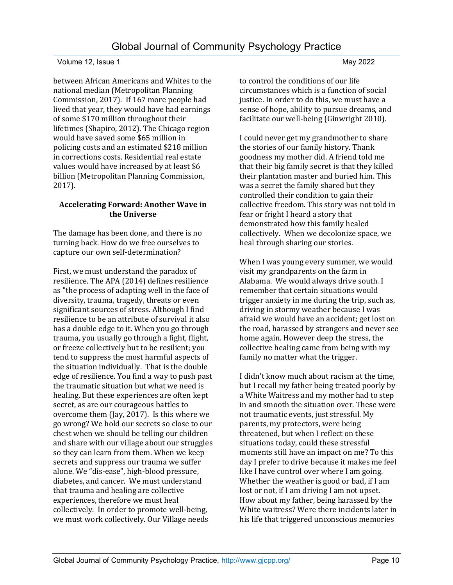between African Americans and Whites to the national median (Metropolitan Planning Commission, 2017). If 167 more people had lived that year, they would have had earnings of some \$170 million throughout their lifetimes (Shapiro, 2012). The Chicago region would have saved some \$65 million in policing costs and an estimated \$218 million in corrections costs. Residential real estate values would have increased by at least \$6 billion (Metropolitan Planning Commission, 2017).

## **Accelerating Forward: Another Wave in the Universe**

The damage has been done, and there is no turning back. How do we free ourselves to capture our own self-determination?

First, we must understand the paradox of resilience. The APA (2014) defines resilience as "the process of adapting well in the face of diversity, trauma, tragedy, threats or even significant sources of stress. Although I find resilience to be an attribute of survival it also has a double edge to it. When you go through trauma, you usually go through a fight, flight, or freeze collectively but to be resilient; you tend to suppress the most harmful aspects of the situation individually. That is the double edge of resilience. You find a way to push past the traumatic situation but what we need is healing. But these experiences are often kept secret, as are our courageous battles to overcome them (Jay, 2017). Is this where we go wrong? We hold our secrets so close to our chest when we should be telling our children and share with our village about our struggles so they can learn from them. When we keep secrets and suppress our trauma we suffer alone. We "dis-ease", high-blood pressure, diabetes, and cancer. We must understand that trauma and healing are collective experiences, therefore we must heal collectively. In order to promote well-being, we must work collectively. Our Village needs

to control the conditions of our life circumstances which is a function of social justice. In order to do this, we must have a sense of hope, ability to pursue dreams, and facilitate our well-being (Ginwright 2010).

I could never get my grandmother to share the stories of our family history. Thank goodness my mother did. A friend told me that their big family secret is that they killed their plantation master and buried him. This was a secret the family shared but they controlled their condition to gain their collective freedom. This story was not told in fear or fright I heard a story that demonstrated how this family healed collectively. When we decolonize space, we heal through sharing our stories.

When I was young every summer, we would visit my grandparents on the farm in Alabama. We would always drive south. I remember that certain situations would trigger anxiety in me during the trip, such as, driving in stormy weather because I was afraid we would have an accident; get lost on the road, harassed by strangers and never see home again. However deep the stress, the collective healing came from being with my family no matter what the trigger.

I didn't know much about racism at the time, but I recall my father being treated poorly by a White Waitress and my mother had to step in and smooth the situation over. These were not traumatic events, just stressful. My parents, my protectors, were being threatened, but when I reflect on these situations today, could these stressful moments still have an impact on me? To this day I prefer to drive because it makes me feel like I have control over where I am going. Whether the weather is good or bad, if I am lost or not, if I am driving I am not upset. How about my father, being harassed by the White waitress? Were there incidents later in his life that triggered unconscious memories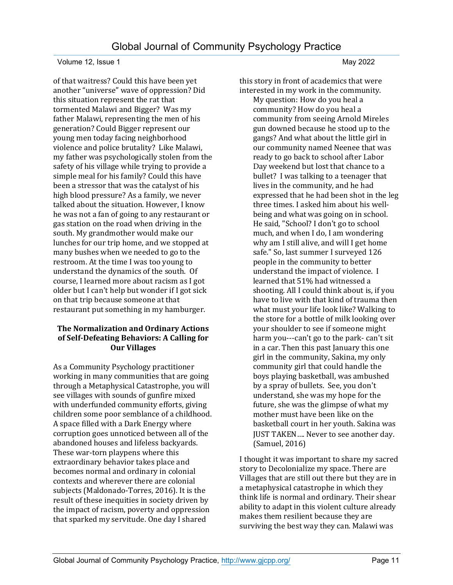of that waitress? Could this have been yet another "universe" wave of oppression? Did this situation represent the rat that tormented Malawi and Bigger? Was my father Malawi, representing the men of his generation? Could Bigger represent our young men today facing neighborhood violence and police brutality? Like Malawi, my father was psychologically stolen from the safety of his village while trying to provide a simple meal for his family? Could this have been a stressor that was the catalyst of his high blood pressure? As a family, we never talked about the situation. However, I know he was not a fan of going to any restaurant or gas station on the road when driving in the south. My grandmother would make our lunches for our trip home, and we stopped at many bushes when we needed to go to the restroom. At the time I was too young to understand the dynamics of the south. Of course, I learned more about racism as I got older but I can't help but wonder if I got sick on that trip because someone at that restaurant put something in my hamburger.

#### **The Normalization and Ordinary Actions of Self-Defeating Behaviors: A Calling for Our Villages**

As a Community Psychology practitioner working in many communities that are going through a Metaphysical Catastrophe, you will see villages with sounds of gunfire mixed with underfunded community efforts, giving children some poor semblance of a childhood. A space filled with a Dark Energy where corruption goes unnoticed between all of the abandoned houses and lifeless backyards. These war-torn playpens where this extraordinary behavior takes place and becomes normal and ordinary in colonial contexts and wherever there are colonial subjects (Maldonado-Torres, 2016). It is the result of these inequities in society driven by the impact of racism, poverty and oppression that sparked my servitude. One day I shared

this story in front of academics that were interested in my work in the community.

My question: How do you heal a community? How do you heal a community from seeing Arnold Mireles gun downed because he stood up to the gangs? And what about the little girl in our community named Neenee that was ready to go back to school after Labor Day weekend but lost that chance to a bullet? I was talking to a teenager that lives in the community, and he had expressed that he had been shot in the leg three times. I asked him about his wellbeing and what was going on in school. He said, "School? I don't go to school much, and when I do, I am wondering why am I still alive, and will I get home safe." So, last summer I surveyed 126 people in the community to better understand the impact of violence. I learned that 51% had witnessed a shooting. All I could think about is, if you have to live with that kind of trauma then what must your life look like? Walking to the store for a bottle of milk looking over your shoulder to see if someone might harm you---can't go to the park- can't sit in a car. Then this past January this one girl in the community, Sakina, my only community girl that could handle the boys playing basketball, was ambushed by a spray of bullets. See, you don't understand, she was my hope for the future, she was the glimpse of what my mother must have been like on the basketball court in her youth. Sakina was JUST TAKEN…. Never to see another day. (Samuel, 2016)

I thought it was important to share my sacred story to Decolonialize my space. There are Villages that are still out there but they are in a metaphysical catastrophe in which they think life is normal and ordinary. Their shear ability to adapt in this violent culture already makes them resilient because they are surviving the best way they can. Malawi was